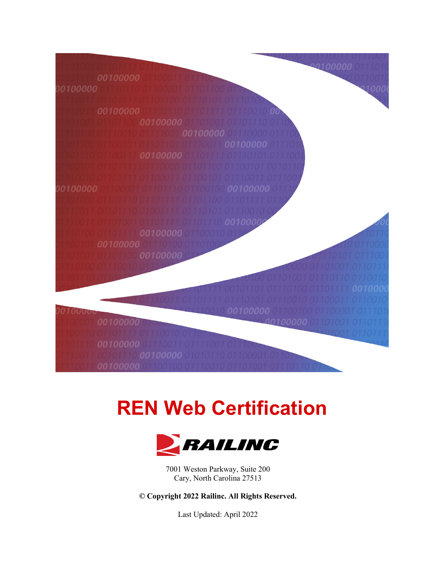

# **REN Web Certification**



7001 Weston Parkway, Suite 200 Cary, North Carolina 27513

**© Copyright 2022 Railinc. All Rights Reserved.**

Last Updated: April 2022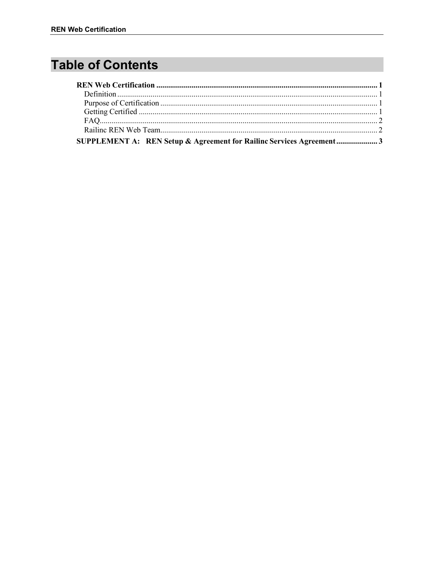# **Table of Contents**

| SUPPLEMENT A: REN Setup & Agreement for Railinc Services Agreement3 |  |
|---------------------------------------------------------------------|--|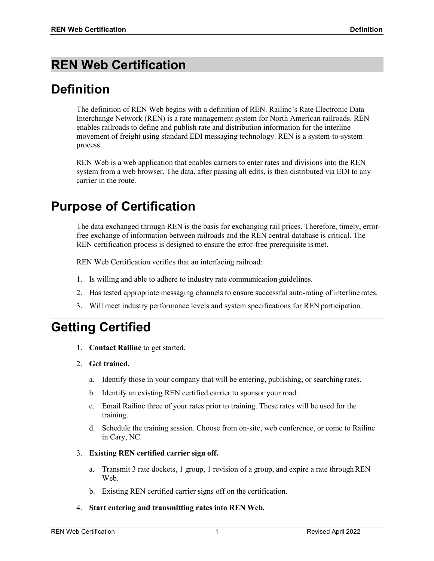# <span id="page-2-0"></span>**REN Web Certification**

# <span id="page-2-1"></span>**Definition**

The definition of REN Web begins with a definition of REN. Railinc's Rate Electronic Data Interchange Network (REN) is a rate management system for North American railroads. REN enables railroads to define and publish rate and distribution information for the interline movement of freight using standard EDI messaging technology. REN is a system-to-system process.

REN Web is a web application that enables carriers to enter rates and divisions into the REN system from a web browser. The data, after passing all edits, is then distributed via EDI to any carrier in the route.

### <span id="page-2-2"></span>**Purpose of Certification**

The data exchanged through REN is the basis for exchanging rail prices. Therefore, timely, errorfree exchange of information between railroads and the REN central database is critical. The REN certification process is designed to ensure the error-free prerequisite is met.

REN Web Certification verifies that an interfacing railroad:

- 1. Is willing and able to adhere to industry rate communication guidelines.
- 2. Has tested appropriate messaging channels to ensure successful auto-rating of interline rates.
- 3. Will meet industry performance levels and system specifications for REN participation.

### <span id="page-2-3"></span>**Getting Certified**

- 1. **Contact Railinc** to get started.
- 2. **Get trained.**
	- a. Identify those in your company that will be entering, publishing, or searching rates.
	- b. Identify an existing REN certified carrier to sponsor your road.
	- c. Email Railinc three of your rates prior to training. These rates will be used for the training.
	- d. Schedule the training session. Choose from on-site, web conference, or come to Railinc in Cary, NC.
- 3. **Existing REN certified carrier sign off.**
	- a. Transmit 3 rate dockets, 1 group, 1 revision of a group, and expire a rate throughREN Web.
	- b. Existing REN certified carrier signs off on the certification.
- 4. **Start entering and transmitting rates into REN Web.**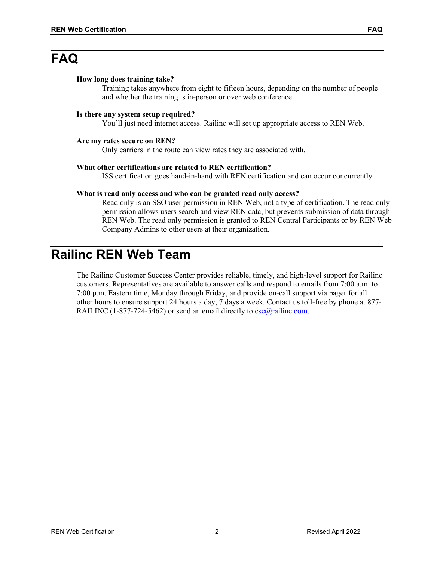### <span id="page-3-0"></span>**FAQ**

#### **How long does training take?**

Training takes anywhere from eight to fifteen hours, depending on the number of people and whether the training is in-person or over web conference.

#### **Is there any system setup required?**

You'll just need internet access. Railinc will set up appropriate access to REN Web.

#### **Are my rates secure on REN?**

Only carriers in the route can view rates they are associated with.

#### **What other certifications are related to REN certification?**

ISS certification goes hand-in-hand with REN certification and can occur concurrently.

#### **What is read only access and who can be granted read only access?**

Read only is an SSO user permission in REN Web, not a type of certification. The read only permission allows users search and view REN data, but prevents submission of data through REN Web. The read only permission is granted to REN Central Participants or by REN Web Company Admins to other users at their organization.

### <span id="page-3-1"></span>**Railinc REN Web Team**

The Railinc Customer Success Center provides reliable, timely, and high-level support for Railinc customers. Representatives are available to answer calls and respond to emails from 7:00 a.m. to 7:00 p.m. Eastern time, Monday through Friday, and provide on-call support via pager for all other hours to ensure support 24 hours a day, 7 days a week. Contact us toll-free by phone at 877- RAILINC (1-877-724-5462) or send an email directly to  $\csc(\omega \text{rainic.com})$ .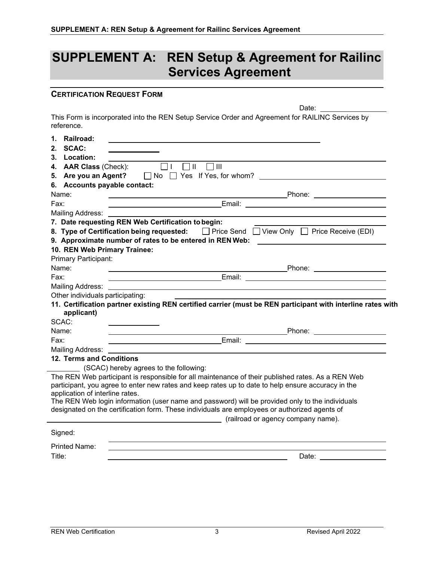## <span id="page-4-0"></span>**SUPPLEMENT A: REN Setup & Agreement for Railinc Services Agreement**

Date:

#### **CERTIFICATION REQUEST FORM**

This Form is incorporated into the REN Setup Service Order and Agreement for RAILINC Services by reference.

| 1.     | Railroad:                        |                                                                                                                                                                                                                                |
|--------|----------------------------------|--------------------------------------------------------------------------------------------------------------------------------------------------------------------------------------------------------------------------------|
| 2.     | <b>SCAC:</b>                     |                                                                                                                                                                                                                                |
| 3.     | Location:                        |                                                                                                                                                                                                                                |
| 4.     | <b>AAR Class (Check):</b>        | $\Box$ II<br>$\Box$ III                                                                                                                                                                                                        |
| 5.     | Are you an Agent?                | $\Box$ No $\Box$ Yes If Yes, for whom?                                                                                                                                                                                         |
|        | 6. Accounts payable contact:     |                                                                                                                                                                                                                                |
|        | Name:                            |                                                                                                                                                                                                                                |
| Fax:   |                                  |                                                                                                                                                                                                                                |
|        | <b>Mailing Address:</b>          |                                                                                                                                                                                                                                |
|        |                                  | 7. Date requesting REN Web Certification to begin:                                                                                                                                                                             |
|        |                                  | 8. Type of Certification being requested:<br>The Send TView Only TPrice Receive (EDI)                                                                                                                                          |
|        |                                  | 9. Approximate number of rates to be entered in REN Web:                                                                                                                                                                       |
|        | 10. REN Web Primary Trainee:     |                                                                                                                                                                                                                                |
|        | Primary Participant:             |                                                                                                                                                                                                                                |
|        | Name:                            | _Phone: _____________________<br><u> 1989 - Johann Stoff, amerikansk politiker (d. 1989)</u>                                                                                                                                   |
| Fax:   |                                  |                                                                                                                                                                                                                                |
|        | Mailing Address:                 | and the control of the control of the control of the control of the control of the control of the control of the                                                                                                               |
|        | Other individuals participating: |                                                                                                                                                                                                                                |
|        | applicant)                       | 11. Certification partner existing REN certified carrier (must be REN participant with interline rates with                                                                                                                    |
|        | SCAC:                            |                                                                                                                                                                                                                                |
|        | Name:                            | <b>Example 2018</b> Phone:                                                                                                                                                                                                     |
| Fax:   |                                  | <u> 1980 - Johann Barn, mars ann an t-Amhain Aonaich an t-Aonaich an t-Aonaich ann an t-Aonaich ann an t-Aonaich</u>                                                                                                           |
|        | <b>Mailing Address:</b>          |                                                                                                                                                                                                                                |
|        | 12. Terms and Conditions         |                                                                                                                                                                                                                                |
|        |                                  | (SCAC) hereby agrees to the following:                                                                                                                                                                                         |
|        | application of interline rates.  | The REN Web participant is responsible for all maintenance of their published rates. As a REN Web<br>participant, you agree to enter new rates and keep rates up to date to help ensure accuracy in the                        |
|        |                                  | The REN Web login information (user name and password) will be provided only to the individuals                                                                                                                                |
|        |                                  | designated on the certification form. These individuals are employees or authorized agents of                                                                                                                                  |
|        |                                  | (railroad or agency company name).                                                                                                                                                                                             |
|        | Signed:                          |                                                                                                                                                                                                                                |
|        | <b>Printed Name:</b>             |                                                                                                                                                                                                                                |
| Title: |                                  | Date: the contract of the contract of the contract of the contract of the contract of the contract of the contract of the contract of the contract of the contract of the contract of the contract of the contract of the cont |
|        |                                  |                                                                                                                                                                                                                                |